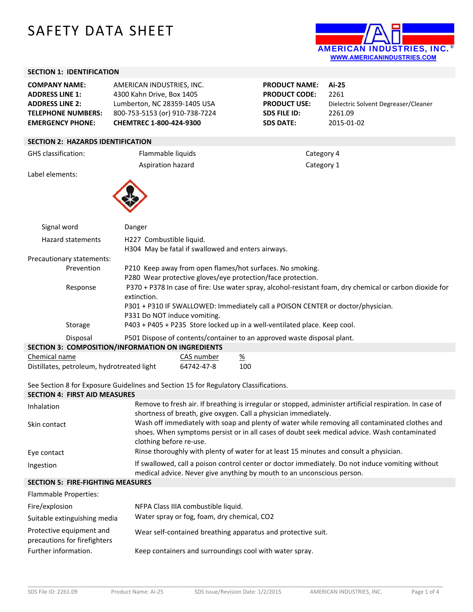# SAFETY DATA SHEET



### **SECTION 1: IDENTIFICATION**

| <b>COMPANY NAME:</b><br><b>ADDRESS LINE 1:</b><br><b>ADDRESS LINE 2:</b><br><b>TELEPHONE NUMBERS:</b><br><b>EMERGENCY PHONE:</b> | AMERICAN INDUSTRIES, INC.<br>4300 Kahn Drive, Box 1405<br>Lumberton, NC 28359-1405 USA<br>800-753-5153 (or) 910-738-7224<br>CHEMTREC 1-800-424-9300                                                                                        |                 | <b>PRODUCT NAME:</b><br><b>PRODUCT CODE:</b><br><b>PRODUCT USE:</b><br><b>SDS FILE ID:</b><br><b>SDS DATE:</b> | Ai-25<br>2261<br>Dielectric Solvent Degreaser/Cleaner<br>2261.09<br>2015-01-02 |  |  |  |  |  |
|----------------------------------------------------------------------------------------------------------------------------------|--------------------------------------------------------------------------------------------------------------------------------------------------------------------------------------------------------------------------------------------|-----------------|----------------------------------------------------------------------------------------------------------------|--------------------------------------------------------------------------------|--|--|--|--|--|
| <b>SECTION 2: HAZARDS IDENTIFICATION</b>                                                                                         |                                                                                                                                                                                                                                            |                 |                                                                                                                |                                                                                |  |  |  |  |  |
| <b>GHS</b> classification:                                                                                                       | Flammable liquids<br>Category 4                                                                                                                                                                                                            |                 |                                                                                                                |                                                                                |  |  |  |  |  |
|                                                                                                                                  | Aspiration hazard                                                                                                                                                                                                                          |                 | Category 1                                                                                                     |                                                                                |  |  |  |  |  |
| Label elements:                                                                                                                  |                                                                                                                                                                                                                                            |                 |                                                                                                                |                                                                                |  |  |  |  |  |
| Signal word                                                                                                                      | Danger                                                                                                                                                                                                                                     |                 |                                                                                                                |                                                                                |  |  |  |  |  |
| <b>Hazard statements</b>                                                                                                         | H227 Combustible liquid.<br>H304 May be fatal if swallowed and enters airways.                                                                                                                                                             |                 |                                                                                                                |                                                                                |  |  |  |  |  |
| Precautionary statements:                                                                                                        |                                                                                                                                                                                                                                            |                 |                                                                                                                |                                                                                |  |  |  |  |  |
| Prevention                                                                                                                       | P210 Keep away from open flames/hot surfaces. No smoking.<br>P280 Wear protective gloves/eye protection/face protection.                                                                                                                   |                 |                                                                                                                |                                                                                |  |  |  |  |  |
| Response                                                                                                                         | P370 + P378 In case of fire: Use water spray, alcohol-resistant foam, dry chemical or carbon dioxide for<br>extinction.<br>P301 + P310 IF SWALLOWED: Immediately call a POISON CENTER or doctor/physician.<br>P331 Do NOT induce vomiting. |                 |                                                                                                                |                                                                                |  |  |  |  |  |
| Storage                                                                                                                          | P403 + P405 + P235 Store locked up in a well-ventilated place. Keep cool.                                                                                                                                                                  |                 |                                                                                                                |                                                                                |  |  |  |  |  |
| Disposal                                                                                                                         | P501 Dispose of contents/container to an approved waste disposal plant.                                                                                                                                                                    |                 |                                                                                                                |                                                                                |  |  |  |  |  |
|                                                                                                                                  | <b>SECTION 3: COMPOSITION/INFORMATION ON INGREDIENTS</b>                                                                                                                                                                                   |                 |                                                                                                                |                                                                                |  |  |  |  |  |
| Chemical name                                                                                                                    | CAS number                                                                                                                                                                                                                                 | $\frac{\%}{\%}$ |                                                                                                                |                                                                                |  |  |  |  |  |
| 100<br>Distillates, petroleum, hydrotreated light<br>64742-47-8                                                                  |                                                                                                                                                                                                                                            |                 |                                                                                                                |                                                                                |  |  |  |  |  |

See Section 8 for Exposure Guidelines and Section 15 for Regulatory Classifications.

### **SECTION 4: FIRST AID MEASURES**  Inhalation Remove to fresh air. If breathing is irregular or stopped, administer artificial respiration. In case of shortness of breath, give oxygen. Call a physician immediately. Skin contact Wash off immediately with soap and plenty of water while removing all contaminated clothes and shoes. When symptoms persist or in all cases of doubt seek medical advice. Wash contaminated clothing before re‐use. Eye contact **Rinse thoroughly with plenty of water for at least 15 minutes and consult a physician.** Ingestion **Interpretion** If swallowed, call a poison control center or doctor immediately. Do not induce vomiting without medical advice. Never give anything by mouth to an unconscious person. **SECTION 5: FIRE‐FIGHTING MEASURES**  Flammable Properties: Fire/explosion NFPA Class IIIA combustible liquid. Suitable extinguishing media Water spray or fog, foam, dry chemical, CO2 Protective equipment and Wear self‐contained breathing apparatus and protective suit.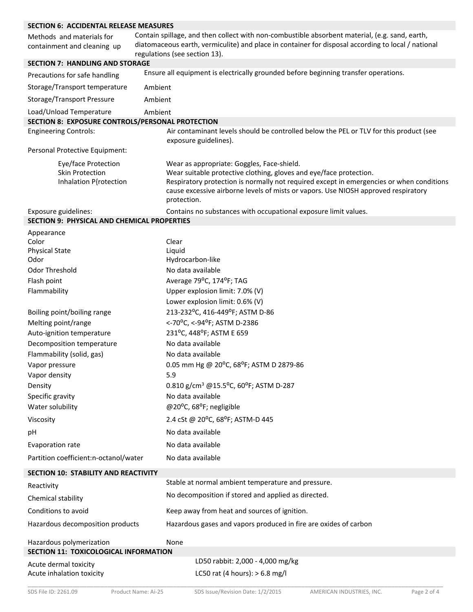| <b>SECTION 6: ACCIDENTAL RELEASE MEASURES</b>                           |                                                                                                                                                                                                                                                                                                                   |
|-------------------------------------------------------------------------|-------------------------------------------------------------------------------------------------------------------------------------------------------------------------------------------------------------------------------------------------------------------------------------------------------------------|
| Methods and materials for<br>containment and cleaning up                | Contain spillage, and then collect with non-combustible absorbent material, (e.g. sand, earth,<br>diatomaceous earth, vermiculite) and place in container for disposal according to local / national<br>regulations (see section 13).                                                                             |
| <b>SECTION 7: HANDLING AND STORAGE</b>                                  |                                                                                                                                                                                                                                                                                                                   |
| Precautions for safe handling                                           | Ensure all equipment is electrically grounded before beginning transfer operations.                                                                                                                                                                                                                               |
| Storage/Transport temperature                                           | Ambient                                                                                                                                                                                                                                                                                                           |
| <b>Storage/Transport Pressure</b>                                       | Ambient                                                                                                                                                                                                                                                                                                           |
| Load/Unload Temperature                                                 | Ambient                                                                                                                                                                                                                                                                                                           |
| SECTION 8: EXPOSURE CONTROLS/PERSONAL PROTECTION                        |                                                                                                                                                                                                                                                                                                                   |
| <b>Engineering Controls:</b>                                            | Air contaminant levels should be controlled below the PEL or TLV for this product (see<br>exposure guidelines).                                                                                                                                                                                                   |
| Personal Protective Equipment:                                          |                                                                                                                                                                                                                                                                                                                   |
| Eye/face Protection<br><b>Skin Protection</b><br>Inhalation P{rotection | Wear as appropriate: Goggles, Face-shield.<br>Wear suitable protective clothing, gloves and eye/face protection.<br>Respiratory protection is normally not required except in emergencies or when conditions<br>cause excessive airborne levels of mists or vapors. Use NIOSH approved respiratory<br>protection. |
| Exposure guidelines:                                                    | Contains no substances with occupational exposure limit values.                                                                                                                                                                                                                                                   |
| <b>SECTION 9: PHYSICAL AND CHEMICAL PROPERTIES</b>                      |                                                                                                                                                                                                                                                                                                                   |
| Appearance                                                              |                                                                                                                                                                                                                                                                                                                   |
| Color                                                                   | Clear                                                                                                                                                                                                                                                                                                             |
| <b>Physical State</b><br>Odor                                           | Liquid<br>Hydrocarbon-like                                                                                                                                                                                                                                                                                        |
| Odor Threshold                                                          | No data available                                                                                                                                                                                                                                                                                                 |
| Flash point                                                             | Average 79°C, 174°F; TAG                                                                                                                                                                                                                                                                                          |
| Flammability                                                            | Upper explosion limit: 7.0% (V)                                                                                                                                                                                                                                                                                   |
|                                                                         | Lower explosion limit: 0.6% (V)                                                                                                                                                                                                                                                                                   |
| Boiling point/boiling range                                             | 213-232°C, 416-449°F; ASTM D-86                                                                                                                                                                                                                                                                                   |
| Melting point/range                                                     | <-70°C, <-94°F; ASTM D-2386                                                                                                                                                                                                                                                                                       |
| Auto-ignition temperature                                               | 231°C, 448°F; ASTM E 659                                                                                                                                                                                                                                                                                          |
| Decomposition temperature                                               | No data available                                                                                                                                                                                                                                                                                                 |
| Flammability (solid, gas)                                               | No data available                                                                                                                                                                                                                                                                                                 |
| Vapor pressure                                                          | 0.05 mm Hg @ 20°C, 68°F; ASTM D 2879-86                                                                                                                                                                                                                                                                           |
| Vapor density                                                           | 5.9                                                                                                                                                                                                                                                                                                               |
| Density                                                                 | 0.810 g/cm <sup>3</sup> @15.5°C, 60°F; ASTM D-287                                                                                                                                                                                                                                                                 |
| Specific gravity                                                        | No data available                                                                                                                                                                                                                                                                                                 |
| Water solubility                                                        | @20°C, 68°F; negligible                                                                                                                                                                                                                                                                                           |
| Viscosity                                                               | 2.4 cSt @ 20°C, 68°F; ASTM-D 445                                                                                                                                                                                                                                                                                  |
| рH                                                                      | No data available                                                                                                                                                                                                                                                                                                 |
| Evaporation rate                                                        | No data available                                                                                                                                                                                                                                                                                                 |
| Partition coefficient:n-octanol/water                                   | No data available                                                                                                                                                                                                                                                                                                 |
| <b>SECTION 10: STABILITY AND REACTIVITY</b>                             |                                                                                                                                                                                                                                                                                                                   |
| Reactivity                                                              | Stable at normal ambient temperature and pressure.                                                                                                                                                                                                                                                                |
| Chemical stability                                                      | No decomposition if stored and applied as directed.                                                                                                                                                                                                                                                               |
| Conditions to avoid                                                     | Keep away from heat and sources of ignition.                                                                                                                                                                                                                                                                      |
| Hazardous decomposition products                                        | Hazardous gases and vapors produced in fire are oxides of carbon                                                                                                                                                                                                                                                  |
| Hazardous polymerization                                                | None                                                                                                                                                                                                                                                                                                              |
| SECTION 11: TOXICOLOGICAL INFORMATION                                   |                                                                                                                                                                                                                                                                                                                   |
| Acute dermal toxicity                                                   | LD50 rabbit: 2,000 - 4,000 mg/kg                                                                                                                                                                                                                                                                                  |
| Acute inhalation toxicity                                               | LC50 rat (4 hours): $> 6.8$ mg/l                                                                                                                                                                                                                                                                                  |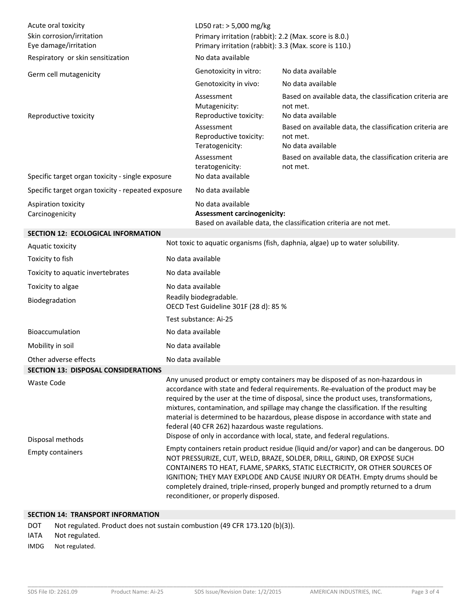| Acute oral toxicity<br>Skin corrosion/irritation<br>Eye damage/irritation<br>Respiratory or skin sensitization |                                                                                                                                                                                                                                                                                                                                                                                                                                                                                                                                                                                  | LD50 rat: > 5,000 mg/kg<br>Primary irritation (rabbit): 2.2 (Max. score is 8.0.)<br>Primary irritation (rabbit): 3.3 (Max. score is 110.)<br>No data available                                                                                                                                                                                                                                                                                              |                                                                                                                                                                   |  |  |  |
|----------------------------------------------------------------------------------------------------------------|----------------------------------------------------------------------------------------------------------------------------------------------------------------------------------------------------------------------------------------------------------------------------------------------------------------------------------------------------------------------------------------------------------------------------------------------------------------------------------------------------------------------------------------------------------------------------------|-------------------------------------------------------------------------------------------------------------------------------------------------------------------------------------------------------------------------------------------------------------------------------------------------------------------------------------------------------------------------------------------------------------------------------------------------------------|-------------------------------------------------------------------------------------------------------------------------------------------------------------------|--|--|--|
|                                                                                                                |                                                                                                                                                                                                                                                                                                                                                                                                                                                                                                                                                                                  | Genotoxicity in vitro:                                                                                                                                                                                                                                                                                                                                                                                                                                      | No data available                                                                                                                                                 |  |  |  |
| Germ cell mutagenicity                                                                                         |                                                                                                                                                                                                                                                                                                                                                                                                                                                                                                                                                                                  | Genotoxicity in vivo:                                                                                                                                                                                                                                                                                                                                                                                                                                       | No data available                                                                                                                                                 |  |  |  |
| Reproductive toxicity                                                                                          |                                                                                                                                                                                                                                                                                                                                                                                                                                                                                                                                                                                  | Assessment<br>Mutagenicity:<br>Reproductive toxicity:<br>Assessment<br>Reproductive toxicity:                                                                                                                                                                                                                                                                                                                                                               | Based on available data, the classification criteria are<br>not met.<br>No data available<br>Based on available data, the classification criteria are<br>not met. |  |  |  |
| Specific target organ toxicity - single exposure                                                               |                                                                                                                                                                                                                                                                                                                                                                                                                                                                                                                                                                                  | Teratogenicity:<br>Assessment<br>teratogenicity:<br>No data available                                                                                                                                                                                                                                                                                                                                                                                       | No data available<br>Based on available data, the classification criteria are<br>not met.                                                                         |  |  |  |
| Specific target organ toxicity - repeated exposure                                                             |                                                                                                                                                                                                                                                                                                                                                                                                                                                                                                                                                                                  | No data available                                                                                                                                                                                                                                                                                                                                                                                                                                           |                                                                                                                                                                   |  |  |  |
| Aspiration toxicity<br>Carcinogenicity                                                                         |                                                                                                                                                                                                                                                                                                                                                                                                                                                                                                                                                                                  | No data available<br><b>Assessment carcinogenicity:</b><br>Based on available data, the classification criteria are not met.                                                                                                                                                                                                                                                                                                                                |                                                                                                                                                                   |  |  |  |
| SECTION 12: ECOLOGICAL INFORMATION                                                                             |                                                                                                                                                                                                                                                                                                                                                                                                                                                                                                                                                                                  |                                                                                                                                                                                                                                                                                                                                                                                                                                                             |                                                                                                                                                                   |  |  |  |
| Aquatic toxicity                                                                                               |                                                                                                                                                                                                                                                                                                                                                                                                                                                                                                                                                                                  |                                                                                                                                                                                                                                                                                                                                                                                                                                                             | Not toxic to aquatic organisms (fish, daphnia, algae) up to water solubility.                                                                                     |  |  |  |
| Toxicity to fish                                                                                               |                                                                                                                                                                                                                                                                                                                                                                                                                                                                                                                                                                                  | No data available                                                                                                                                                                                                                                                                                                                                                                                                                                           |                                                                                                                                                                   |  |  |  |
| Toxicity to aquatic invertebrates                                                                              |                                                                                                                                                                                                                                                                                                                                                                                                                                                                                                                                                                                  |                                                                                                                                                                                                                                                                                                                                                                                                                                                             | No data available                                                                                                                                                 |  |  |  |
| Toxicity to algae                                                                                              |                                                                                                                                                                                                                                                                                                                                                                                                                                                                                                                                                                                  | No data available                                                                                                                                                                                                                                                                                                                                                                                                                                           |                                                                                                                                                                   |  |  |  |
| Biodegradation                                                                                                 |                                                                                                                                                                                                                                                                                                                                                                                                                                                                                                                                                                                  | Readily biodegradable.<br>OECD Test Guideline 301F (28 d): 85 %                                                                                                                                                                                                                                                                                                                                                                                             |                                                                                                                                                                   |  |  |  |
|                                                                                                                |                                                                                                                                                                                                                                                                                                                                                                                                                                                                                                                                                                                  | Test substance: Ai-25                                                                                                                                                                                                                                                                                                                                                                                                                                       |                                                                                                                                                                   |  |  |  |
| Bioaccumulation                                                                                                |                                                                                                                                                                                                                                                                                                                                                                                                                                                                                                                                                                                  | No data available                                                                                                                                                                                                                                                                                                                                                                                                                                           |                                                                                                                                                                   |  |  |  |
| Mobility in soil                                                                                               |                                                                                                                                                                                                                                                                                                                                                                                                                                                                                                                                                                                  | No data available                                                                                                                                                                                                                                                                                                                                                                                                                                           |                                                                                                                                                                   |  |  |  |
| Other adverse effects                                                                                          |                                                                                                                                                                                                                                                                                                                                                                                                                                                                                                                                                                                  | No data available                                                                                                                                                                                                                                                                                                                                                                                                                                           |                                                                                                                                                                   |  |  |  |
| <b>SECTION 13: DISPOSAL CONSIDERATIONS</b>                                                                     |                                                                                                                                                                                                                                                                                                                                                                                                                                                                                                                                                                                  |                                                                                                                                                                                                                                                                                                                                                                                                                                                             |                                                                                                                                                                   |  |  |  |
| <b>Waste Code</b><br>Disposal methods                                                                          | Any unused product or empty containers may be disposed of as non-hazardous in<br>accordance with state and federal requirements. Re-evaluation of the product may be<br>required by the user at the time of disposal, since the product uses, transformations,<br>mixtures, contamination, and spillage may change the classification. If the resulting<br>material is determined to be hazardous, please dispose in accordance with state and<br>federal (40 CFR 262) hazardous waste regulations.<br>Dispose of only in accordance with local, state, and federal regulations. |                                                                                                                                                                                                                                                                                                                                                                                                                                                             |                                                                                                                                                                   |  |  |  |
| <b>Empty containers</b>                                                                                        |                                                                                                                                                                                                                                                                                                                                                                                                                                                                                                                                                                                  | Empty containers retain product residue (liquid and/or vapor) and can be dangerous. DO<br>NOT PRESSURIZE, CUT, WELD, BRAZE, SOLDER, DRILL, GRIND, OR EXPOSE SUCH<br>CONTAINERS TO HEAT, FLAME, SPARKS, STATIC ELECTRICITY, OR OTHER SOURCES OF<br>IGNITION; THEY MAY EXPLODE AND CAUSE INJURY OR DEATH. Empty drums should be<br>completely drained, triple-rinsed, properly bunged and promptly returned to a drum<br>reconditioner, or properly disposed. |                                                                                                                                                                   |  |  |  |

### **SECTION 14: TRANSPORT INFORMATION**

DOT Not regulated. Product does not sustain combustion (49 CFR 173.120 (b)(3)).

# IATA Not regulated.

IMDG Not regulated.